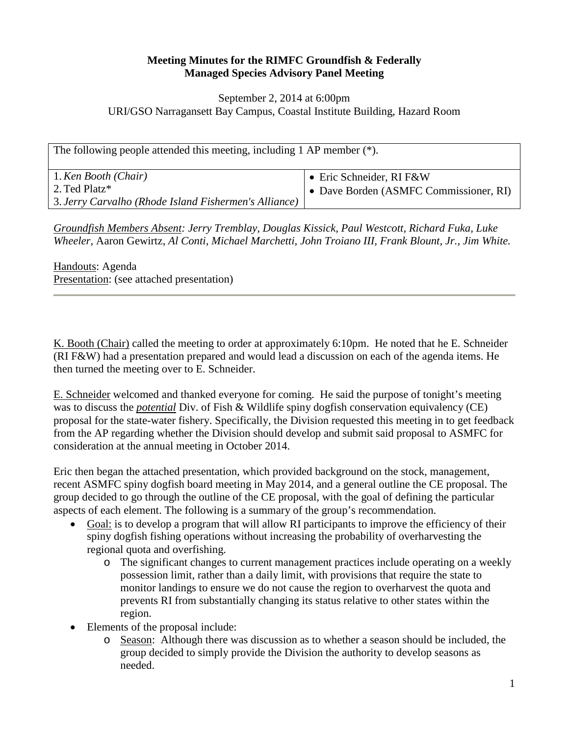## **Meeting Minutes for the RIMFC Groundfish & Federally Managed Species Advisory Panel Meeting**

## September 2, 2014 at 6:00pm URI/GSO Narragansett Bay Campus, Coastal Institute Building, Hazard Room

| The following people attended this meeting, including 1 AP member $(*)$ . |                                      |
|---------------------------------------------------------------------------|--------------------------------------|
| 1. Ken Booth (Chair)                                                      | • Eric Schneider, RI F&W             |
| 2. Ted Platz*                                                             | Dave Borden (ASMFC Commissioner, RI) |
| 3. Jerry Carvalho (Rhode Island Fishermen's Alliance)                     |                                      |

*Groundfish Members Absent: Jerry Tremblay, Douglas Kissick, Paul Westcott, Richard Fuka, Luke Wheeler,* Aaron Gewirtz, *Al Conti, Michael Marchetti, John Troiano III, Frank Blount, Jr., Jim White.*

Handouts: Agenda Presentation: (see attached presentation)

K. Booth (Chair) called the meeting to order at approximately 6:10pm. He noted that he E. Schneider (RI F&W) had a presentation prepared and would lead a discussion on each of the agenda items. He then turned the meeting over to E. Schneider.

E. Schneider welcomed and thanked everyone for coming. He said the purpose of tonight's meeting was to discuss the *potential* Div. of Fish & Wildlife spiny dogfish conservation equivalency (CE) proposal for the state-water fishery. Specifically, the Division requested this meeting in to get feedback from the AP regarding whether the Division should develop and submit said proposal to ASMFC for consideration at the annual meeting in October 2014.

Eric then began the attached presentation, which provided background on the stock, management, recent ASMFC spiny dogfish board meeting in May 2014, and a general outline the CE proposal. The group decided to go through the outline of the CE proposal, with the goal of defining the particular aspects of each element. The following is a summary of the group's recommendation.

- Goal: is to develop a program that will allow RI participants to improve the efficiency of their spiny dogfish fishing operations without increasing the probability of overharvesting the regional quota and overfishing.
	- o The significant changes to current management practices include operating on a weekly possession limit, rather than a daily limit, with provisions that require the state to monitor landings to ensure we do not cause the region to overharvest the quota and prevents RI from substantially changing its status relative to other states within the region.
- Elements of the proposal include:
	- o Season: Although there was discussion as to whether a season should be included, the group decided to simply provide the Division the authority to develop seasons as needed.